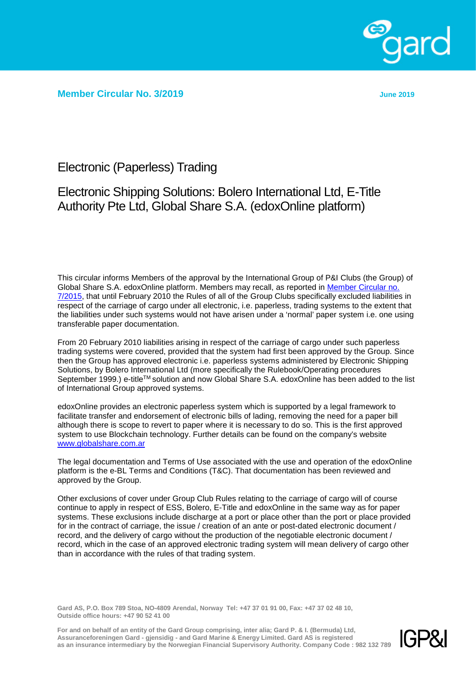

**Member Circular No. 3/2019 June 2019**

Electronic (Paperless) Trading

## Electronic Shipping Solutions: Bolero International Ltd, E-Title Authority Pte Ltd, Global Share S.A. (edoxOnline platform)

This circular informs Members of the approval by the International Group of P&I Clubs (the Group) of Global Share S.A. edoxOnline platform. Members may recall, as reported in [Member Circular no.](http://www.gard.no/Content/20889007/MemberCircular_7_2015.pdf)  [7/2015,](http://www.gard.no/Content/20889007/MemberCircular_7_2015.pdf) that until February 2010 the Rules of all of the Group Clubs specifically excluded liabilities in respect of the carriage of cargo under all electronic, i.e. paperless, trading systems to the extent that the liabilities under such systems would not have arisen under a 'normal' paper system i.e. one using transferable paper documentation.

From 20 February 2010 liabilities arising in respect of the carriage of cargo under such paperless trading systems were covered, provided that the system had first been approved by the Group. Since then the Group has approved electronic i.e. paperless systems administered by Electronic Shipping Solutions, by Bolero International Ltd (more specifically the Rulebook/Operating procedures September 1999.) e-title™ solution and now Global Share S.A. edoxOnline has been added to the list of International Group approved systems.

edoxOnline provides an electronic paperless system which is supported by a legal framework to facilitate transfer and endorsement of electronic bills of lading, removing the need for a paper bill although there is scope to revert to paper where it is necessary to do so. This is the first approved system to use Blockchain technology. Further details can be found on the company's website [www.globalshare.com.ar](http://www.globalshare.com.ar/) 

The legal documentation and Terms of Use associated with the use and operation of the edoxOnline platform is the e-BL Terms and Conditions (T&C). That documentation has been reviewed and approved by the Group.

Other exclusions of cover under Group Club Rules relating to the carriage of cargo will of course continue to apply in respect of ESS, Bolero, E-Title and edoxOnline in the same way as for paper systems. These exclusions include discharge at a port or place other than the port or place provided for in the contract of carriage, the issue / creation of an ante or post-dated electronic document / record, and the delivery of cargo without the production of the negotiable electronic document / record, which in the case of an approved electronic trading system will mean delivery of cargo other than in accordance with the rules of that trading system.

**Gard AS, P.O. Box 789 Stoa, NO-4809 Arendal, Norway Tel: +47 37 01 91 00, Fax: +47 37 02 48 10, Outside office hours: +47 90 52 41 00**

**For and on behalf of an entity of the Gard Group comprising, inter alia; Gard P. & I. (Bermuda) Ltd, Assuranceforeningen Gard - gjensidig - and Gard Marine & Energy Limited. Gard AS is registered as an insurance intermediary by the Norwegian Financial Supervisory Authority. Company Code : 982 132 789**